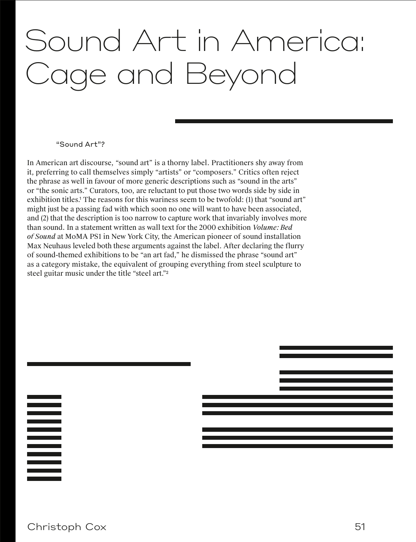# Sound Art in America: Cage and Beyond

#### "Sound Art"?

In American art discourse, "sound art" is a thorny label. Practitioners shy away from it, preferring to call themselves simply "artists" or "composers." Critics often reject the phrase as well in favour of more generic descriptions such as "sound in the arts" or "the sonic arts." Curators, too, are reluctant to put those two words side by side in exhibition titles.<sup>1</sup> The reasons for this wariness seem to be twofold: (1) that "sound art" might just be a passing fad with which soon no one will want to have been associated, and (2) that the description is too narrow to capture work that invariably involves more than sound. In a statement written as wall text for the 2000 exhibition *Volume: Bed of Sound* at MoMA PS1 in New York City, the American pioneer of sound installation Max Neuhaus leveled both these arguments against the label. After declaring the flurry of sound-themed exhibitions to be "an art fad," he dismissed the phrase "sound art" as a category mistake, the equivalent of grouping everything from steel sculpture to steel guitar music under the title "steel art."<sup>2</sup>

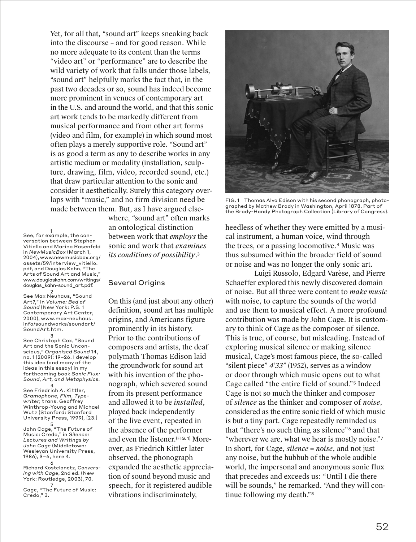Yet, for all that, "sound art" keeps sneaking back into the discourse – and for good reason. While no more adequate to its content than the terms "video art" or "performance" are to describe the wild variety of work that falls under those labels, "sound art" helpfully marks the fact that, in the past two decades or so, sound has indeed become more prominent in venues of contemporary art in the U.S. and around the world, and that this sonic art work tends to be markedly different from musical performance and from other art forms (video and film, for example) in which sound most often plays a merely supportive role. "Sound art" is as good a term as any to describe works in any artistic medium or modality (installation, sculpture, drawing, film, video, recorded sound, etc.) that draw particular attention to the sonic and consider it aesthetically. Surely this category overlaps with "music," and no firm division need be made between them. But, as I have argued else-

1 See, for example, the conversation between Stephen Vitiello and Marina Rosenfeld in *NewMusicBox* (March 1, 2004), www.newmusicbox.org/ assets/59/interview\_vitiello. pdf, and Douglas Kahn, "The Arts of Sound Art and Music," www.douglaskahn.com/writings/ douglas\_kahn-sound\_art.pdf.

2 See Max Neuhaus, "Sound Art?," in *Volume: Bed of Sound* (New York: P.S. 1 Contemporary Art Center, 2000), www.max-neuhaus. info/soundworks/soundart/ SoundArt.htm.

3 See Christoph Cox, "Sound Art and the Sonic Unconscious," *Organised Sound* 14, no. 1 (2009): 19–26. I develop this idea (and many of the ideas in this essay) in my forthcoming book *Sonic Flux: Sound, Art, and Metaphysics*.

4 See Friedrich A. Kittler, *Gramophone, Film, Typewriter*, trans. Geoffrey Winthrop-Young and Michael Wutz (Stanford: Stanford University Press, 1999), [23.]

5 John Cage, "The Future of Music: Credo," in *Silence: Lectures and Writings by John Cage* (Middletown: Wesleyan University Press, 1986), 3–6, here 4.

6 Richard Kostelanetz, *Conversing with Cage*, 2nd ed. (New York: Routledge, 2003), 70.

7 Cage, "The Future of Music: Credo," 3.

where, "sound art" often marks an ontological distinction between work that *employs* the sonic and work that *examines its conditions of possibility*. 3

#### Several Origins

On this (and just about any other) definition, sound art has multiple origins, and Americans figure prominently in its history. Prior to the contributions of composers and artists, the deaf polymath Thomas Edison laid the groundwork for sound art with his invention of the phonograph, which severed sound from its present performance and allowed it to be *installed*, played back independently of the live event, repeated in the absence of the performer and even the listener.(FIG. 1) Moreover, as Friedrich Kittler later observed, the phonograph expanded the aesthetic appreciation of sound beyond music and speech, for it registered audible vibrations indiscriminately,



FIG. 1 Thomas Alva Edison with his second phonograph, photographed by Mathew Brady in Washington, April 1878. Part of the Brady-Handy Photograph Collection (Library of Congress).

heedless of whether they were emitted by a musical instrument, a human voice, wind through the trees, or a passing locomotive.<sup>4</sup> Music was thus subsumed within the broader field of sound or noise and was no longer the only sonic art.

Luigi Russolo, Edgard Varèse, and Pierre Schaeffer explored this newly discovered domain of noise. But all three were content to *make music* with noise, to capture the sounds of the world and use them to musical effect. A more profound contribution was made by John Cage. It is customary to think of Cage as the composer of silence. This is true, of course, but misleading. Instead of exploring musical silence or making silence musical, Cage's most famous piece, the so-called "silent piece" *4'33"* (1952), serves as a window or door through which music opens out to what Cage called "the entire field of sound."<sup>5</sup> Indeed Cage is not so much the thinker and composer of *silence* as the thinker and composer of *noise*, considered as the entire sonic field of which music is but a tiny part. Cage repeatedly reminded us that "there's no such thing as silence"<sup>6</sup> and that "wherever we are, what we hear is mostly noise."<sup>7</sup> In short, for Cage, *silence = noise*, and not just any noise, but the hubbub of the whole audible world, the impersonal and anonymous sonic flux that precedes and exceeds us: "Until I die there will be sounds," he remarked. "And they will continue following my death."<sup>8</sup>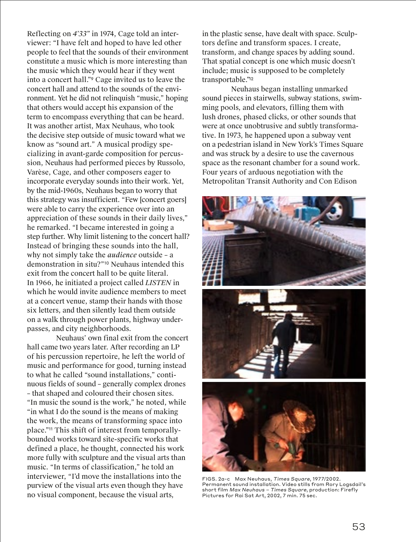Reflecting on *4'33"* in 1974, Cage told an interviewer: "I have felt and hoped to have led other people to feel that the sounds of their environment constitute a music which is more interesting than the music which they would hear if they went into a concert hall."<sup>9</sup> Cage invited us to leave the concert hall and attend to the sounds of the environment. Yet he did not relinquish "music," hoping that others would accept his expansion of the term to encompass everything that can be heard. It was another artist, Max Neuhaus, who took the decisive step outside of music toward what we know as "sound art." A musical prodigy specializing in avant-garde composition for percussion, Neuhaus had performed pieces by Russolo, Varèse, Cage, and other composers eager to incorporate everyday sounds into their work. Yet, by the mid-1960s, Neuhaus began to worry that this strategy was insufficient. "Few [concert goers] were able to carry the experience over into an appreciation of these sounds in their daily lives," he remarked. "I became interested in going a step further. Why limit listening to the concert hall? Instead of bringing these sounds into the hall, why not simply take the *audience* outside – a demonstration in situ?"<sup>10</sup> Neuhaus intended this exit from the concert hall to be quite literal. In 1966, he initiated a project called *LISTEN* in which he would invite audience members to meet at a concert venue, stamp their hands with those six letters, and then silently lead them outside on a walk through power plants, highway underpasses, and city neighborhoods.

Neuhaus' own final exit from the concert hall came two years later. After recording an LP of his percussion repertoire, he left the world of music and performance for good, turning instead to what he called "sound installations," continuous fields of sound – generally complex drones – that shaped and coloured their chosen sites. "In music the sound is the work," he noted, while "in what I do the sound is the means of making the work, the means of transforming space into place."<sup>11</sup> This shift of interest from temporallybounded works toward site-specific works that defined a place, he thought, connected his work more fully with sculpture and the visual arts than music. "In terms of classification," he told an interviewer, "I'd move the installations into the purview of the visual arts even though they have no visual component, because the visual arts,

in the plastic sense, have dealt with space. Sculptors define and transform spaces. I create, transform, and change spaces by adding sound. That spatial concept is one which music doesn't include; music is supposed to be completely transportable."<sup>12</sup>

Neuhaus began installing unmarked sound pieces in stairwells, subway stations, swimming pools, and elevators, filling them with lush drones, phased clicks, or other sounds that were at once unobtrusive and subtly transformative. In 1973, he happened upon a subway vent on a pedestrian island in New York's Times Square and was struck by a desire to use the cavernous space as the resonant chamber for a sound work. Four years of arduous negotiation with the Metropolitan Transit Authority and Con Edison



FIGS. 2a-c Max Neuhaus, Times Square, 1977/2002. Permanent sound installation. Video stills from Rory Logsdail's short film Max Neuhaus – Times Square, production: Firefly Pictures for Rai Sat Art, 2002, 7 min. 75 sec.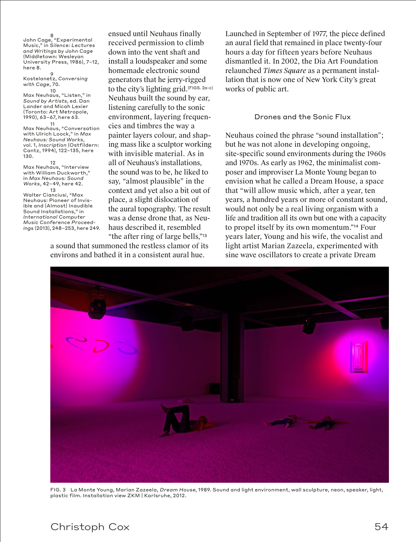8 John Cage, "Experimental Music," in *Silence: Lectures and Writings by John Cage* (Middletown: Wesleyan University Press, 1986), 7–12, here 8.

9 Kostelanetz, *Conversing with Cage*, 70.

10 Max Neuhaus, "Listen," in *Sound by Artists*, ed. Dan Lander and Micah Lexier (Toronto: Art Metropole, 1990), 63–67, here 63. 11

Max Neuhaus, "Conversation with Ulrich Loock," in *Max Neuhaus: Sound Works*, vol. 1, *Inscription* (Ostfildern: Cantz, 1994), 122–135, here 130.

12 Max Neuhaus, "Interview with William Duckworth," in *Max Neuhaus: Sound Works*, 42–49, here 42. 13

Walter Cianciusi, "Max Neuhaus: Pioneer of Invisible and (Almost) Inaudible Sound Installations," in *International Computer Music Conference Proceedings* (2013), 248–253, here 249. ensued until Neuhaus finally received permission to climb down into the vent shaft and install a loudspeaker and some homemade electronic sound generators that he jerry-rigged to the city's lighting grid.(FIGS. 2a-c) Neuhaus built the sound by ear, listening carefully to the sonic environment, layering frequencies and timbres the way a painter layers colour, and shaping mass like a sculptor working with invisible material. As in all of Neuhaus's installations, the sound was to be, he liked to say, "almost plausible" in the context and yet also a bit out of place, a slight dislocation of the aural topography. The result was a dense drone that, as Neuhaus described it, resembled "the after ring of large bells,"<sup>13</sup>

a sound that summoned the restless clamor of its environs and bathed it in a consistent aural hue.

Launched in September of 1977, the piece defined an aural field that remained in place twenty-four hours a day for fifteen years before Neuhaus dismantled it. In 2002, the Dia Art Foundation relaunched *Times Square* as a permanent installation that is now one of New York City's great works of public art.

#### Drones and the Sonic Flux

Neuhaus coined the phrase "sound installation"; but he was not alone in developing ongoing, site-specific sound environments during the 1960s and 1970s. As early as 1962, the minimalist composer and improviser La Monte Young began to envision what he called a Dream House, a space that "will allow music which, after a year, ten years, a hundred years or more of constant sound, would not only be a real living organism with a life and tradition all its own but one with a capacity to propel itself by its own momentum."<sup>14</sup> Four years later, Young and his wife, the vocalist and light artist Marian Zazeela, experimented with sine wave oscillators to create a private Dream



FIG. 3 La Monte Young, Marian Zazeela, Dream House, 1989. Sound and light environment, wall sculpture, neon, speaker, light, plastic film. Installation view ZKM | Karlsruhe, 2012.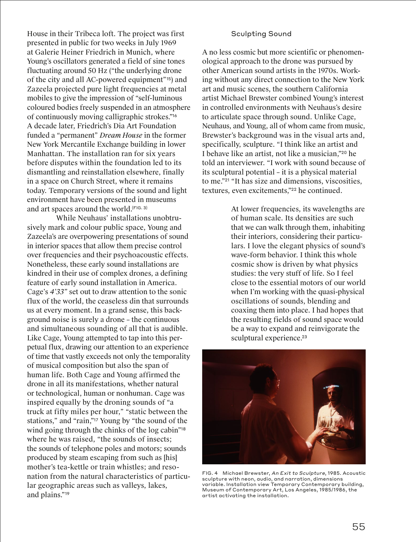House in their Tribeca loft. The project was first presented in public for two weeks in July 1969 at Galerie Heiner Friedrich in Munich, where Young's oscillators generated a field of sine tones fluctuating around 50 Hz ("the underlying drone of the city and all AC-powered equipment"<sup>15</sup>) and Zazeela projected pure light frequencies at metal mobiles to give the impression of "self-luminous coloured bodies freely suspended in an atmosphere of continuously moving calligraphic strokes."<sup>16</sup> A decade later, Friedrich's Dia Art Foundation funded a "permanent" *Dream House* in the former New York Mercantile Exchange building in lower Manhattan. The installation ran for six years before disputes within the foundation led to its dismantling and reinstallation elsewhere, finally in a space on Church Street, where it remains today. Temporary versions of the sound and light environment have been presented in museums and art spaces around the world. (FIG. 3)

While Neuhaus' installations unobtrusively mark and colour public space, Young and Zazeela's are overpowering presentations of sound in interior spaces that allow them precise control over frequencies and their psychoacoustic effects. Nonetheless, these early sound installations are kindred in their use of complex drones, a defining feature of early sound installation in America. Cage's *4'33"* set out to draw attention to the sonic flux of the world, the ceaseless din that surrounds us at every moment. In a grand sense, this background noise is surely a drone – the continuous and simultaneous sounding of all that is audible. Like Cage, Young attempted to tap into this perpetual flux, drawing our attention to an experience of time that vastly exceeds not only the temporality of musical composition but also the span of human life. Both Cage and Young affirmed the drone in all its manifestations, whether natural or technological, human or nonhuman. Cage was inspired equally by the droning sounds of "a truck at fifty miles per hour," "static between the stations," and "rain,"<sup>17</sup> Young by "the sound of the wind going through the chinks of the log cabin"<sup>18</sup> where he was raised, "the sounds of insects; the sounds of telephone poles and motors; sounds produced by steam escaping from such as [his] mother's tea-kettle or train whistles; and resonation from the natural characteristics of particular geographic areas such as valleys, lakes, and plains."19

### Sculpting Sound

A no less cosmic but more scientific or phenomenological approach to the drone was pursued by other American sound artists in the 1970s. Working without any direct connection to the New York art and music scenes, the southern California artist Michael Brewster combined Young's interest in controlled environments with Neuhaus's desire to articulate space through sound. Unlike Cage, Neuhaus, and Young, all of whom came from music, Brewster's background was in the visual arts and, specifically, sculpture. "I think like an artist and I behave like an artist, not like a musician,"<sup>20</sup> he told an interviewer. "I work with sound because of its sculptural potential – it is a physical material to me."<sup>21</sup> "It has size and dimensions, viscosities, textures, even excitements,"<sup>22</sup> he continued.

> At lower frequencies, its wavelengths are of human scale. Its densities are such that we can walk through them, inhabiting their interiors, considering their particulars. I love the elegant physics of sound's wave-form behavior. I think this whole cosmic show is driven by what physics studies: the very stuff of life. So I feel close to the essential motors of our world when I'm working with the quasi-physical oscillations of sounds, blending and coaxing them into place. I had hopes that the resulting fields of sound space would be a way to expand and reinvigorate the sculptural experience. 23



FIG. 4 Michael Brewster, An Exit to Sculpture, 1985. Acoustic sculpture with neon, audio, and narration, dimensions variable. Installation view Temporary Contemporary building, Museum of Contemporary Art, Los Angeles, 1985/1986, the artist activating the installation.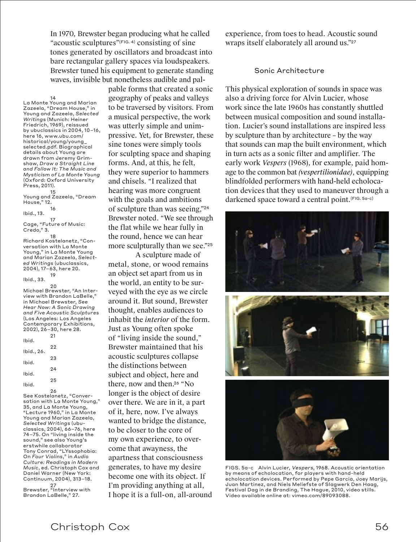In 1970, Brewster began producing what he called "acoustic sculptures"(FIG. 4) consisting of sine tones generated by oscillators and broadcast into bare rectangular gallery spaces via loudspeakers. Brewster tuned his equipment to generate standing waves, invisible but nonetheless audible and pal-

 $14$ 

La Monte Young and Marian Zazeela, "Dream House," in Young and Zazeela, *Selected Writings* (Munich: Heiner Friedrich, 1969), reissued by ubuclassics in 2004, 10–16, here 16, www.ubu.com/ historical/young/young\_ selected.pdf. Biographical details about Young are drawn from Jeremy Grimshaw, *Draw a Straight Line and Follow It: The Music and Mysticism of La Monte Young* (Oxford: Oxford University Press, 2011).

15 Young and Zazeela, "Dream House," 12.

Ibid., 13.

17 Cage, "Future of Music: Credo," 3.

16

18 Richard Kostelanetz, "Conversation with La Monte Young," in La Monte Young and Marian Zazeela, *Selected Writings* (ubuclassics, 2004), 17–63, here 20. 19

Ibid., 33.

 $20$ Michael Brewster, "An Interview with Brandon LaBelle," in Michael Brewster, *See Hear Now: A Sonic Drawing and Five Acoustic Sculptures* (Los Angeles: Los Angeles Contemporary Exhibitions, 2002), 26–30, here 28. 21 Ibid. 22 Ibid., 26. 23 Ibid.

24 Ibid. 25 Ibid.

26 See Kostelanetz, "Conversation with La Monte Young," 35, and La Monte Young, "Lecture 1960," in La Monte Young and Marian Zazeela, *Selected Writings* (ubuclassics, 2004), 66–76, here 74–75. On "living inside the sound," see also Young's erstwhile collaborator Tony Conrad, "LYssophobia: On *Four Violins*," in *Audio Culture: Readings in Modern Music*, ed. Christoph Cox and Daniel Warner (New York: Continuum, 2004), 313–18.

27 Brewster, "Interview with Brandon LaBelle," 27.

pable forms that created a sonic geography of peaks and valleys to be traversed by visitors. From a musical perspective, the work was utterly simple and unimpressive. Yet, for Brewster, these sine tones were simply tools for sculpting space and shaping forms. And, at this, he felt, they were superior to hammers and chisels. "I realized that hearing was more congruent with the goals and ambitions of sculpture than was seeing,"<sup>24</sup> Brewster noted. "We see through the flat while we hear fully in the round, hence we can hear more sculpturally than we see."<sup>25</sup>

A sculpture made of metal, stone, or wood remains an object set apart from us in the world, an entity to be surveyed with the eye as we circle around it. But sound, Brewster thought, enables audiences to inhabit the *interior* of the form. Just as Young often spoke of "living inside the sound," Brewster maintained that his acoustic sculptures collapse the distinctions between subject and object, here and there, now and then. <sup>26</sup> "No longer is the object of desire over there. We are in it, a part of it, here, now. I've always wanted to bridge the distance, to be closer to the core of my own experience, to overcome that awayness, the apartness that consciousness generates, to have my desire become one with its object. If I'm providing anything at all, I hope it is a full-on, all-around experience, from toes to head. Acoustic sound wraps itself elaborately all around us."<sup>27</sup>

## Sonic Architecture

This physical exploration of sounds in space was also a driving force for Alvin Lucier, whose work since the late 1960s has constantly shuttled between musical composition and sound installation. Lucier's sound installations are inspired less by sculpture than by architecture – by the way that sounds can map the built environment, which in turn acts as a sonic filter and amplifier. The early work *Vespers* (1968), for example, paid homage to the common bat *(vespertilionidae)*, equipping blindfolded performers with hand-held echolocation devices that they used to maneuver through a darkened space toward a central point. (FIG. 5a-c)



FIGS. 5a-c Alvin Lucier, Vespers, 1968. Acoustic orientation by means of echolocation, for players with hand-held echolocation devices. Performed by Pepe Garcia, Joey Marijs, Juan Martinez, and Niels Meliefste of Slagwerk Den Haag, Festival Dag in de Branding, The Hague, 2010, video stills. Video available online at: vimeo.com/89093088.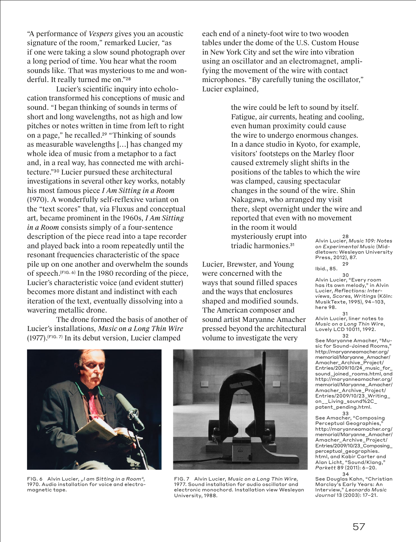"A performance of *Vespers* gives you an acoustic signature of the room," remarked Lucier, "as if one were taking a slow sound photograph over a long period of time. You hear what the room sounds like. That was mysterious to me and wonderful. It really turned me on."<sup>28</sup>

Lucier's scientific inquiry into echolocation transformed his conceptions of music and sound. "I began thinking of sounds in terms of short and long wavelengths, not as high and low pitches or notes written in time from left to right on a page," he recalled. <sup>29</sup> "Thinking of sounds as measurable wavelengths […] has changed my whole idea of music from a metaphor to a fact and, in a real way, has connected me with architecture."<sup>30</sup> Lucier pursued these architectural investigations in several other key works, notably his most famous piece *I Am Sitting in a Room* (1970). A wonderfully self-reflexive variant on the "text scores" that, via Fluxus and conceptual art, became prominent in the 1960s, *I Am Sitting in a Room* consists simply of a four-sentence description of the piece read into a tape recorder and played back into a room repeatedly until the resonant frequencies characteristic of the space pile up on one another and overwhelm the sounds of speech. (FIG. 6) In the 1980 recording of the piece, Lucier's characteristic voice (and evident stutter) becomes more distant and indistinct with each iteration of the text, eventually dissolving into a wavering metallic drone.

The drone formed the basis of another of Lucier's installations, *Music on a Long Thin Wire* (1977). (FIG. 7) In its debut version, Lucier clamped

each end of a ninety-foot wire to two wooden tables under the dome of the U.S. Custom House in New York City and set the wire into vibration using an oscillator and an electromagnet, amplifying the movement of the wire with contact microphones. "By carefully tuning the oscillator," Lucier explained,

> the wire could be left to sound by itself. Fatigue, air currents, heating and cooling, even human proximity could cause the wire to undergo enormous changes. In a dance studio in Kyoto, for example, visitors' footsteps on the Marley floor caused extremely slight shifts in the positions of the tables to which the wire was clamped, causing spectacular changes in the sound of the wire. Shin Nakagawa, who arranged my visit there, slept overnight under the wire and reported that even with no movement

in the room it would mysteriously erupt into triadic harmonies. 31

Lucier, Brewster, and Young were concerned with the ways that sound filled spaces and the ways that enclosures shaped and modified sounds. The American composer and sound artist Maryanne Amacher pressed beyond the architectural volume to investigate the very

28 Alvin Lucier, *Music 109: Notes on Experimental Music* (Middletown: Wesleyan University Press, 2012), 87. 29

Ibid., 85.

30 Alvin Lucier, "Every room has its own melody," in Alvin Lucier, *Reflections: Interviews, Scores, Writings* (Köln: MusikTexte, 1995), 94–103, here 98.

31 Alvin Lucier, liner notes to *Music on a Long Thin Wire*, Lovely LCD 10011, 1992.

32 See Maryanne Amacher, "Music for Sound-Joined Rooms, http://maryanneamacher.org/ memorial/Maryanne\_Amacher/ Amacher\_Archive\_Project/ Entries/2009/10/24\_music\_for\_ sound\_joined\_rooms.html, and http://maryanneamacher.org/ memorial/Maryanne\_Amacher/ Amacher\_Archive\_Project/ Entries/2009/10/23\_Writing\_ on\_\_Living\_sound%2C\_ patent\_pending.html.

33 See Amacher, "Composing Perceptual Geographies," http://maryanneamacher.org/ memorial/Maryanne\_Amacher/ Amacher\_Archive\_Project/ Entries/2009/10/23\_Composing\_ perceptual\_geographies. html, and Kabir Carter and Alan Licht, "Sound/Klang," *Parkett* 89 (2011): 6–20.

34 See Douglas Kahn, "Christian Marclay's Early Years: An Interview," *Leonardo Music Journal* 13 (2003): 17–21.



FIG. 6 Alvin Lucier, "I am Sitting in a Room", 1970. Audio installation for voice and electromagnetic tape.



FIG. 7 Alvin Lucier, Music on a Long Thin Wire, 1977. Sound installation for audio oscillator and electronic monochord. Installation view Wesleyan University, 1988.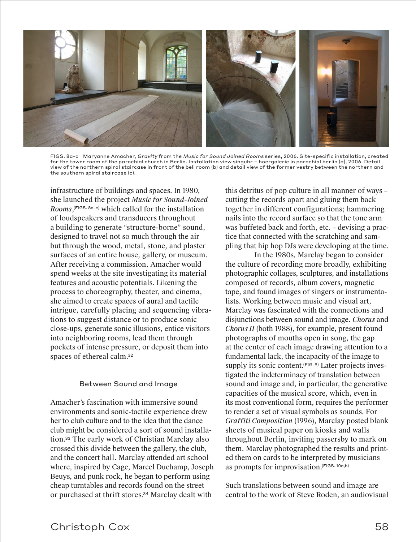

FIGS. 8a-c Maryanne Amacher, Gravity from the Music for Sound Joined Rooms series, 2006. Site-specific installation, created for the tower room of the parochial church in Berlin. Installation view singuhr – hoergalerie in parochial berlin (a), 2006. Detail view of the northern spiral staircase in front of the bell room (b) and detail view of the former vestry between the northern and the southern spiral staircase (c).

infrastructure of buildings and spaces. In 1980, she launched the project *Music for Sound-Joined Rooms*, (FIGS. 8a-c) which called for the installation of loudspeakers and transducers throughout a building to generate "structure-borne" sound, designed to travel not so much through the air but through the wood, metal, stone, and plaster surfaces of an entire house, gallery, or museum. After receiving a commission, Amacher would spend weeks at the site investigating its material features and acoustic potentials. Likening the process to choreography, theater, and cinema, she aimed to create spaces of aural and tactile intrigue, carefully placing and sequencing vibrations to suggest distance or to produce sonic close-ups, generate sonic illusions, entice visitors into neighboring rooms, lead them through pockets of intense pressure, or deposit them into spaces of ethereal calm. 32

#### Between Sound and Image

Amacher's fascination with immersive sound environments and sonic-tactile experience drew her to club culture and to the idea that the dance club might be considered a sort of sound installation. <sup>33</sup> The early work of Christian Marclay also crossed this divide between the gallery, the club, and the concert hall. Marclay attended art school where, inspired by Cage, Marcel Duchamp, Joseph Beuys, and punk rock, he began to perform using cheap turntables and records found on the street or purchased at thrift stores. <sup>34</sup> Marclay dealt with

this detritus of pop culture in all manner of ways – cutting the records apart and gluing them back together in different configurations; hammering nails into the record surface so that the tone arm was buffeted back and forth, etc. – devising a practice that connected with the scratching and sampling that hip hop DJs were developing at the time.

In the 1980s, Marclay began to consider the culture of recording more broadly, exhibiting photographic collages, sculptures, and installations composed of records, album covers, magnetic tape, and found images of singers or instrumentalists. Working between music and visual art, Marclay was fascinated with the connections and disjunctions between sound and image. *Chorus* and *Chorus II* (both 1988), for example, present found photographs of mouths open in song, the gap at the center of each image drawing attention to a fundamental lack, the incapacity of the image to supply its sonic content. (FIG. 9) Later projects investigated the indeterminacy of translation between sound and image and, in particular, the generative capacities of the musical score, which, even in its most conventional form, requires the performer to render a set of visual symbols as sounds. For *Graffiti Composition* (1996), Marclay posted blank sheets of musical paper on kiosks and walls throughout Berlin, inviting passersby to mark on them. Marclay photographed the results and printed them on cards to be interpreted by musicians as prompts for improvisation. (FIGS. 10a,b)

Such translations between sound and image are central to the work of Steve Roden, an audiovisual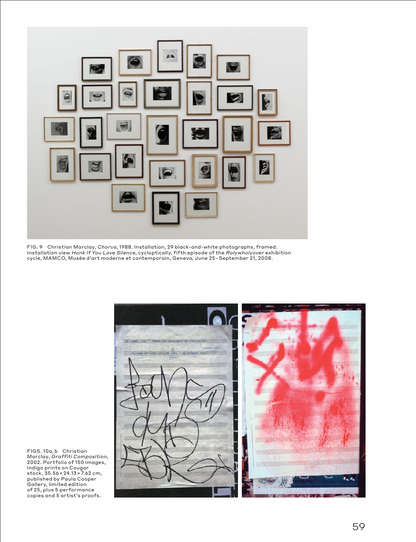

FIG. 9 Christian Marclay, Chorus, 1988. Installation, 29 black-and-white photographs, framed. Installation view Honk If You Love Silence, cycloptically, fifth episode of the Rolywholyover exhibition cycle, MAMCO, Musée d'art moderne et contemporain, Geneva, June 25–September 21, 2008.



FIGS. 10a, b Christian Marclay, Graffiti Composition, 2002. Portfolio of 150 images, Indigo prints on Cougar stock, 35.56×24.13×7.62 cm, published by Paula Cooper Gallery, limited edition of 25, plus 5 performance copies and 5 artist's proofs.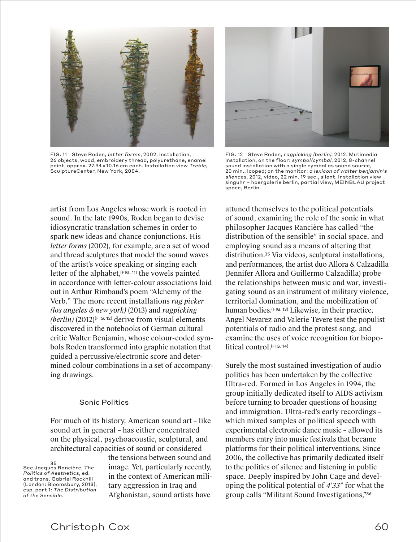

FIG. 11 Steve Roden, letter forms, 2002. Installation, 26 objects, wood, embroidery thread, polyurethane, enamel paint, approx. 27.94×10.16 cm each. Installation view Treble, SculptureCenter, New York, 2004.

artist from Los Angeles whose work is rooted in sound. In the late 1990s, Roden began to devise idiosyncratic translation schemes in order to spark new ideas and chance conjunctions. His *letter forms* (2002), for example, are a set of wood and thread sculptures that model the sound waves of the artist's voice speaking or singing each letter of the alphabet,  $(F \mid G)$  in the vowels painted in accordance with letter-colour associations laid out in Arthur Rimbaud's poem "Alchemy of the Verb." The more recent installations *rag picker (los angeles & new york)* (2013) and *ragpicking (berlin)* (2012)(FIG. 12) derive from visual elements discovered in the notebooks of German cultural critic Walter Benjamin, whose colour-coded symbols Roden transformed into graphic notation that guided a percussive/electronic score and determined colour combinations in a set of accompanying drawings.

#### Sonic Politics

For much of its history, American sound art – like sound art in general – has either concentrated on the physical, psychoacoustic, sculptural, and architectural capacities of sound or considered

35 See Jacques Rancière, *The Politics of Aesthetics*, ed. and trans. Gabriel Rockhill (London: Bloomsbury, 2013), esp. part 1: *The Distribution of the Sensible*.

the tensions between sound and image. Yet, particularly recently, in the context of American military aggression in Iraq and Afghanistan, sound artists have



FIG. 12 Steve Roden, ragpicking (berlin), 2012. Mutimedia installation, on the floor: symbol/cymbal, 2012, 8-channel sound installation with a single cymbal as sound source, 20 min., looped; on the monitor: a lexicon of walter benjamin's silences, 2012, video, 22 min. 19 sec., silent. Installation view singuhr – hoergalerie berlin, partial view, MEINBLAU project space, Berlin.

attuned themselves to the political potentials of sound, examining the role of the sonic in what philosopher Jacques Rancière has called "the distribution of the sensible" in social space, and employing sound as a means of altering that distribution. <sup>35</sup> Via videos, sculptural installations, and performances, the artist duo Allora & Calzadilla (Jennifer Allora and Guillermo Calzadilla) probe the relationships between music and war, investigating sound as an instrument of military violence, territorial domination, and the mobilization of human bodies. (FIG. 13) Likewise, in their practice, Angel Nevarez and Valerie Tevere test the populist potentials of radio and the protest song, and examine the uses of voice recognition for biopolitical control. (FIG. 14)

Surely the most sustained investigation of audio politics has been undertaken by the collective Ultra-red. Formed in Los Angeles in 1994, the group initially dedicated itself to AIDS activism before turning to broader questions of housing and immigration. Ultra-red's early recordings – which mixed samples of political speech with experimental electronic dance music – allowed its members entry into music festivals that became platforms for their political interventions. Since 2006, the collective has primarily dedicated itself to the politics of silence and listening in public space. Deeply inspired by John Cage and developing the political potential of *4'33"* for what the group calls "Militant Sound Investigations,"<sup>36</sup>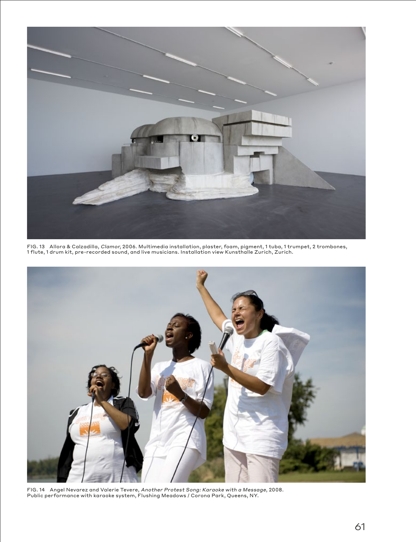

FIG. 13 Allora & Calzadilla, Clamor, 2006. Multimedia installation, plaster, foam, pigment, 1 tuba, 1 trumpet, 2 trombones, 1 flute, 1 drum kit, pre-recorded sound, and live musicians. Installation view Kunsthalle Zurich, Zurich.



FIG. 14 Angel Nevarez and Valerie Tevere, *Another Protest Song: Karaoke with a Message*, 2008.<br>Public performance with karaoke system, Flushing Meadows / Corona Park, Queens, NY.